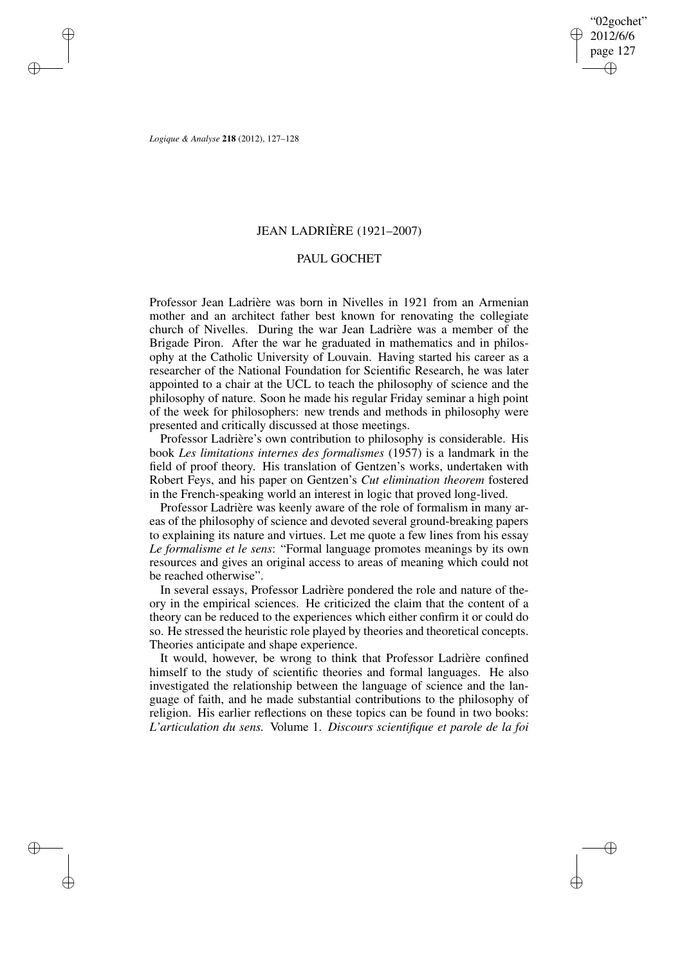✐

✐

*Logique & Analyse* **218** (2012), 127–128

✐

✐

✐

✐

## JEAN LADRIÈRE (1921–2007)

## PAUL GOCHET

Professor Jean Ladrière was born in Nivelles in 1921 from an Armenian mother and an architect father best known for renovating the collegiate church of Nivelles. During the war Jean Ladrière was a member of the Brigade Piron. After the war he graduated in mathematics and in philosophy at the Catholic University of Louvain. Having started his career as a researcher of the National Foundation for Scientific Research, he was later appointed to a chair at the UCL to teach the philosophy of science and the philosophy of nature. Soon he made his regular Friday seminar a high point of the week for philosophers: new trends and methods in philosophy were presented and critically discussed at those meetings.

Professor Ladrière's own contribution to philosophy is considerable. His book *Les limitations internes des formalismes* (1957) is a landmark in the field of proof theory. His translation of Gentzen's works, undertaken with Robert Feys, and his paper on Gentzen's *Cut elimination theorem* fostered in the French-speaking world an interest in logic that proved long-lived.

Professor Ladrière was keenly aware of the role of formalism in many areas of the philosophy of science and devoted several ground-breaking papers to explaining its nature and virtues. Let me quote a few lines from his essay *Le formalisme et le sens*: "Formal language promotes meanings by its own resources and gives an original access to areas of meaning which could not be reached otherwise".

In several essays, Professor Ladrière pondered the role and nature of theory in the empirical sciences. He criticized the claim that the content of a theory can be reduced to the experiences which either confirm it or could do so. He stressed the heuristic role played by theories and theoretical concepts. Theories anticipate and shape experience.

It would, however, be wrong to think that Professor Ladrière confined himself to the study of scientific theories and formal languages. He also investigated the relationship between the language of science and the language of faith, and he made substantial contributions to the philosophy of religion. His earlier reflections on these topics can be found in two books: *L'articulation du sens.* Volume 1. *Discours scientifique et parole de la foi*